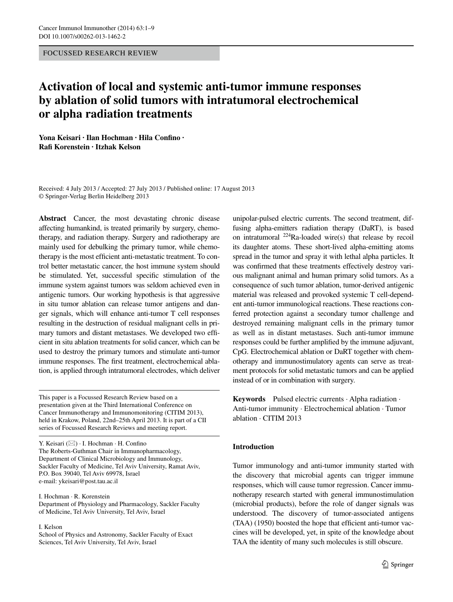Focussed Research Review

# **Activation of local and systemic anti‑tumor immune responses by ablation of solid tumors with intratumoral electrochemical or alpha radiation treatments**

**Yona Keisari · Ilan Hochman · Hila Confino · Rafi Korenstein · Itzhak Kelson**

Received: 4 July 2013 / Accepted: 27 July 2013 / Published online: 17 August 2013 © Springer-Verlag Berlin Heidelberg 2013

**Abstract** Cancer, the most devastating chronic disease affecting humankind, is treated primarily by surgery, chemotherapy, and radiation therapy. Surgery and radiotherapy are mainly used for debulking the primary tumor, while chemotherapy is the most efficient anti-metastatic treatment. To control better metastatic cancer, the host immune system should be stimulated. Yet, successful specific stimulation of the immune system against tumors was seldom achieved even in antigenic tumors. Our working hypothesis is that aggressive in situ tumor ablation can release tumor antigens and danger signals, which will enhance anti-tumor T cell responses resulting in the destruction of residual malignant cells in primary tumors and distant metastases. We developed two efficient in situ ablation treatments for solid cancer, which can be used to destroy the primary tumors and stimulate anti-tumor immune responses. The first treatment, electrochemical ablation, is applied through intratumoral electrodes, which deliver

This paper is a Focussed Research Review based on a presentation given at the Third International Conference on Cancer Immunotherapy and Immunomonitoring (CITIM 2013), held in Krakow, Poland, 22nd–25th April 2013. It is part of a CII series of Focussed Research Reviews and meeting report.

Y. Keisari  $(\boxtimes)$  · I. Hochman · H. Confino The Roberts-Guthman Chair in Immunopharmacology, Department of Clinical Microbiology and Immunology, Sackler Faculty of Medicine, Tel Aviv University, Ramat Aviv, P.O. Box 39040, Tel Aviv 69978, Israel e-mail: ykeisari@post.tau.ac.il

I. Hochman · R. Korenstein Department of Physiology and Pharmacology, Sackler Faculty of Medicine, Tel Aviv University, Tel Aviv, Israel

I. Kelson

School of Physics and Astronomy, Sackler Faculty of Exact Sciences, Tel Aviv University, Tel Aviv, Israel

unipolar-pulsed electric currents. The second treatment, diffusing alpha-emitters radiation therapy (DaRT), is based on intratumoral  $^{224}$ Ra-loaded wire(s) that release by recoil its daughter atoms. These short-lived alpha-emitting atoms spread in the tumor and spray it with lethal alpha particles. It was confirmed that these treatments effectively destroy various malignant animal and human primary solid tumors. As a consequence of such tumor ablation, tumor-derived antigenic material was released and provoked systemic T cell-dependent anti-tumor immunological reactions. These reactions conferred protection against a secondary tumor challenge and destroyed remaining malignant cells in the primary tumor as well as in distant metastases. Such anti-tumor immune responses could be further amplified by the immune adjuvant, CpG. Electrochemical ablation or DaRT together with chemotherapy and immunostimulatory agents can serve as treatment protocols for solid metastatic tumors and can be applied instead of or in combination with surgery.

**Keywords** Pulsed electric currents · Alpha radiation · Anti-tumor immunity · Electrochemical ablation · Tumor ablation · CITIM 2013

## **Introduction**

Tumor immunology and anti-tumor immunity started with the discovery that microbial agents can trigger immune responses, which will cause tumor regression. Cancer immunotherapy research started with general immunostimulation (microbial products), before the role of danger signals was understood. The discovery of tumor-associated antigens (TAA) (1950) boosted the hope that efficient anti-tumor vaccines will be developed, yet, in spite of the knowledge about TAA the identity of many such molecules is still obscure.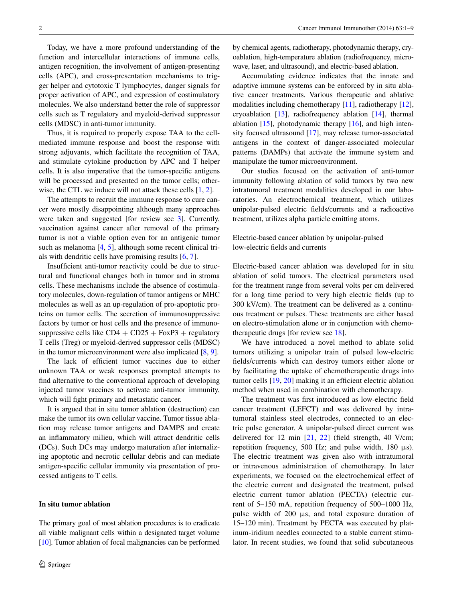Today, we have a more profound understanding of the function and intercellular interactions of immune cells, antigen recognition, the involvement of antigen-presenting cells (APC), and cross-presentation mechanisms to trigger helper and cytotoxic T lymphocytes, danger signals for proper activation of APC, and expression of costimulatory molecules. We also understand better the role of suppressor cells such as T regulatory and myeloid-derived suppressor cells (MDSC) in anti-tumor immunity.

Thus, it is required to properly expose TAA to the cellmediated immune response and boost the response with strong adjuvants, which facilitate the recognition of TAA, and stimulate cytokine production by APC and T helper cells. It is also imperative that the tumor-specific antigens will be processed and presented on the tumor cells; other-wise, the CTL we induce will not attack these cells [[1,](#page-6-0) [2\]](#page-6-1).

The attempts to recruit the immune response to cure cancer were mostly disappointing although many approaches were taken and suggested [for review see [3](#page-6-2)]. Currently, vaccination against cancer after removal of the primary tumor is not a viable option even for an antigenic tumor such as melanoma [\[4](#page-6-3), [5\]](#page-7-0), although some recent clinical trials with dendritic cells have promising results [[6,](#page-7-1) [7\]](#page-7-2).

Insufficient anti-tumor reactivity could be due to structural and functional changes both in tumor and in stroma cells. These mechanisms include the absence of costimulatory molecules, down-regulation of tumor antigens or MHC molecules as well as an up-regulation of pro-apoptotic proteins on tumor cells. The secretion of immunosuppressive factors by tumor or host cells and the presence of immunosuppressive cells like  $CD4 + CD25 + FoxP3 + regularory$ T cells (Treg) or myeloid-derived suppressor cells (MDSC) in the tumor microenvironment were also implicated  $[8, 9]$  $[8, 9]$  $[8, 9]$  $[8, 9]$ .

The lack of efficient tumor vaccines due to either unknown TAA or weak responses prompted attempts to find alternative to the conventional approach of developing injected tumor vaccines to activate anti-tumor immunity, which will fight primary and metastatic cancer.

It is argued that in situ tumor ablation (destruction) can make the tumor its own cellular vaccine. Tumor tissue ablation may release tumor antigens and DAMPS and create an inflammatory milieu, which will attract dendritic cells (DCs). Such DCs may undergo maturation after internalizing apoptotic and necrotic cellular debris and can mediate antigen-specific cellular immunity via presentation of processed antigens to T cells.

## **In situ tumor ablation**

The primary goal of most ablation procedures is to eradicate all viable malignant cells within a designated target volume [\[10\]](#page-7-5). Tumor ablation of focal malignancies can be performed by chemical agents, radiotherapy, photodynamic therapy, cryoablation, high-temperature ablation (radiofrequency, microwave, laser, and ultrasound), and electric-based ablation.

Accumulating evidence indicates that the innate and adaptive immune systems can be enforced by in situ ablative cancer treatments. Various therapeutic and ablative modalities including chemotherapy [\[11](#page-7-6)], radiotherapy [\[12](#page-7-7)], cryoablation [[13\]](#page-7-8), radiofrequency ablation [[14\]](#page-7-9), thermal ablation  $[15]$  $[15]$ , photodynamic therapy  $[16]$  $[16]$ , and high intensity focused ultrasound [\[17](#page-7-12)], may release tumor-associated antigens in the context of danger-associated molecular patterns (DAMPs) that activate the immune system and manipulate the tumor microenvironment.

Our studies focused on the activation of anti-tumor immunity following ablation of solid tumors by two new intratumoral treatment modalities developed in our laboratories. An electrochemical treatment, which utilizes unipolar-pulsed electric fields/currents and a radioactive treatment, utilizes alpha particle emitting atoms.

## Electric-based cancer ablation by unipolar-pulsed low-electric fields and currents

Electric-based cancer ablation was developed for in situ ablation of solid tumors. The electrical parameters used for the treatment range from several volts per cm delivered for a long time period to very high electric fields (up to 300 kV/cm). The treatment can be delivered as a continuous treatment or pulses. These treatments are either based on electro-stimulation alone or in conjunction with chemotherapeutic drugs [for review see [18\]](#page-7-13).

We have introduced a novel method to ablate solid tumors utilizing a unipolar train of pulsed low-electric fields/currents which can destroy tumors either alone or by facilitating the uptake of chemotherapeutic drugs into tumor cells [[19,](#page-7-14) [20](#page-7-15)] making it an efficient electric ablation method when used in combination with chemotherapy.

The treatment was first introduced as low-electric field cancer treatment (LEFCT) and was delivered by intratumoral stainless steel electrodes, connected to an electric pulse generator. A unipolar-pulsed direct current was delivered for 12 min [\[21](#page-7-16), [22\]](#page-7-17) (field strength, 40 V/cm; repetition frequency, 500 Hz; and pulse width, 180 μs). The electric treatment was given also with intratumoral or intravenous administration of chemotherapy. In later experiments, we focused on the electrochemical effect of the electric current and designated the treatment, pulsed electric current tumor ablation (PECTA) (electric current of 5–150 mA, repetition frequency of 500–1000 Hz, pulse width of 200 μs, and total exposure duration of 15–120 min). Treatment by PECTA was executed by platinum-iridium needles connected to a stable current stimulator. In recent studies, we found that solid subcutaneous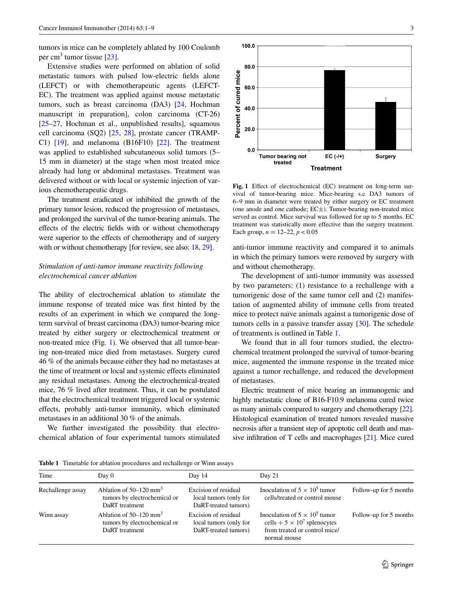tumors in mice can be completely ablated by 100 Coulomb per cm<sup>3</sup> tumor tissue  $[23]$  $[23]$ .

Extensive studies were performed on ablation of solid metastatic tumors with pulsed low-electric fields alone (LEFCT) or with chemotherapeutic agents (LEFCT-EC). The treatment was applied against mouse metastatic tumors, such as breast carcinoma (DA3) [[24,](#page-7-19) Hochman manuscript in preparation], colon carcinoma (CT-26) [\[25](#page-7-20)[–27](#page-7-21), Hochman et al., unpublished results], squamous cell carcinoma (SQ2) [\[25](#page-7-20), [28\]](#page-7-22), prostate cancer (TRAMP-C1)  $[19]$  $[19]$ , and melanoma  $(B16F10)$   $[22]$  $[22]$ . The treatment was applied to established subcutaneous solid tumors (5– 15 mm in diameter) at the stage when most treated mice already had lung or abdominal metastases. Treatment was delivered without or with local or systemic injection of various chemotherapeutic drugs.

The treatment eradicated or inhibited the growth of the primary tumor lesion, reduced the progression of metastases, and prolonged the survival of the tumor-bearing animals. The effects of the electric fields with or without chemotherapy were superior to the effects of chemotherapy and of surgery with or without chemotherapy [for review, see also: [18](#page-7-13), [29\]](#page-7-23).

# *Stimulation of anti‑tumor immune reactivity following electrochemical cancer ablation*

The ability of electrochemical ablation to stimulate the immune response of treated mice was first hinted by the results of an experiment in which we compared the longterm survival of breast carcinoma (DA3) tumor-bearing mice treated by either surgery or electrochemical treatment or non-treated mice (Fig. [1](#page-2-0)). We observed that all tumor-bearing non-treated mice died from metastases. Surgery cured 46 % of the animals because either they had no metastases at the time of treatment or local and systemic effects eliminated any residual metastases. Among the electrochemical-treated mice, 76 % lived after treatment. Thus, it can be postulated that the electrochemical treatment triggered local or systemic effects, probably anti-tumor immunity, which eliminated metastases in an additional 30 % of the animals.

We further investigated the possibility that electrochemical ablation of four experimental tumors stimulated



<span id="page-2-0"></span>**Fig. 1** Effect of electrochemical (EC) treatment on long-term survival of tumor-bearing mice. Mice-bearing s.c DA3 tumors of 6–9 mm in diameter were treated by either surgery or EC treatment (one anode and one cathode; EC±). Tumor-bearing non-treated mice served as control. Mice survival was followed for up to 5 months. EC treatment was statistically more effective than the surgery treatment. Each group,  $n = 12-22$ ,  $p < 0.05$ 

anti-tumor immune reactivity and compared it to animals in which the primary tumors were removed by surgery with and without chemotherapy.

The development of anti-tumor immunity was assessed by two parameters: (1) resistance to a rechallenge with a tumorigenic dose of the same tumor cell and (2) manifestation of augmented ability of immune cells from treated mice to protect naïve animals against a tumorigenic dose of tumors cells in a passive transfer assay [[30\]](#page-7-24). The schedule of treatments is outlined in Table [1](#page-2-1).

We found that in all four tumors studied, the electrochemical treatment prolonged the survival of tumor-bearing mice, augmented the immune response in the treated mice against a tumor rechallenge, and reduced the development of metastases.

Electric treatment of mice bearing an immunogenic and highly metastatic clone of B16-F10.9 melanoma cured twice as many animals compared to surgery and chemotherapy [\[22\]](#page-7-17). Histological examination of treated tumors revealed massive necrosis after a transient step of apoptotic cell death and massive infiltration of T cells and macrophages [[21](#page-7-16)]. Mice cured

<span id="page-2-1"></span>**Table 1** Timetable for ablation procedures and rechallenge or Winn assays

| Time              | Day 0                                                                                  | Day 14                                                                 | Day $21$                                                                                                                     |                        |
|-------------------|----------------------------------------------------------------------------------------|------------------------------------------------------------------------|------------------------------------------------------------------------------------------------------------------------------|------------------------|
| Rechallenge assay | Ablation of $50-120$ mm <sup>3</sup><br>tumors by electrochemical or<br>DaRT treatment | Excision of residual<br>local tumors (only for<br>DaRT-treated tumors) | Inoculation of $5 \times 10^5$ tumor<br>cells/treated or control mouse                                                       | Follow-up for 5 months |
| Winn assay        | Ablation of $50-120$ mm <sup>3</sup><br>tumors by electrochemical or<br>DaRT treatment | Excision of residual<br>local tumors (only for<br>DaRT-treated tumors) | Inoculation of $5 \times 10^5$ tumor<br>cells + $5 \times 10^7$ splenocytes<br>from treated or control mice/<br>normal mouse | Follow-up for 5 months |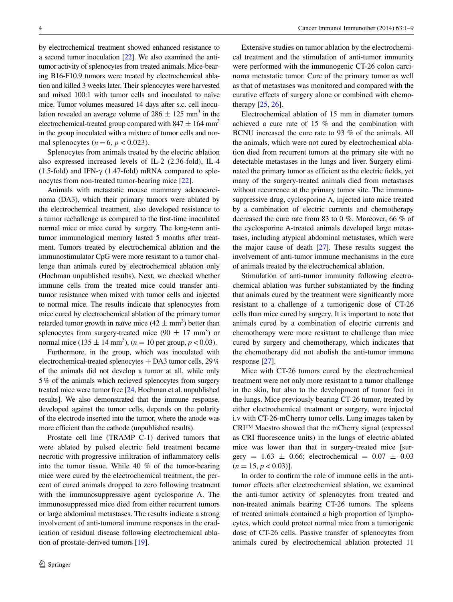by electrochemical treatment showed enhanced resistance to a second tumor inoculation [[22](#page-7-17)]. We also examined the antitumor activity of splenocytes from treated animals. Mice-bearing B16-F10.9 tumors were treated by electrochemical ablation and killed 3 weeks later. Their splenocytes were harvested and mixed 100:1 with tumor cells and inoculated to naïve mice. Tumor volumes measured 14 days after s.c. cell inoculation revealed an average volume of  $286 \pm 125$  mm<sup>3</sup> in the electrochemical-treated group compared with 847  $\pm$  164 mm<sup>3</sup> in the group inoculated with a mixture of tumor cells and normal splenocytes  $(n=6, p < 0.023)$ .

Splenocytes from animals treated by the electric ablation also expressed increased levels of IL-2 (2.36-fold), IL-4 (1.5-fold) and IFN- $\gamma$  (1.47-fold) mRNA compared to splenocytes from non-treated tumor-bearing mice [[22\]](#page-7-17).

Animals with metastatic mouse mammary adenocarcinoma (DA3), which their primary tumors were ablated by the electrochemical treatment, also developed resistance to a tumor rechallenge as compared to the first-time inoculated normal mice or mice cured by surgery. The long-term antitumor immunological memory lasted 5 months after treatment. Tumors treated by electrochemical ablation and the immunostimulator CpG were more resistant to a tumor challenge than animals cured by electrochemical ablation only (Hochman unpublished results). Next, we checked whether immune cells from the treated mice could transfer antitumor resistance when mixed with tumor cells and injected to normal mice. The results indicate that splenocytes from mice cured by electrochemical ablation of the primary tumor retarded tumor growth in naïve mice  $(42 \pm \text{mm}^3)$  better than splenocytes from surgery-treated mice  $(90 \pm 17 \text{ mm}^3)$  or normal mice  $(135 \pm 14 \text{ mm}^3)$ ,  $(n = 10 \text{ per group}, p < 0.03)$ .

Furthermore, in the group, which was inoculated with electrochemical-treated splenocytes + DA3 tumor cells, 29% of the animals did not develop a tumor at all, while only 5% of the animals which recieved splenocytes from surgery treated mice were tumor free [\[24,](#page-7-19) Hochman et al. unpublished results]. We also demonstrated that the immune response, developed against the tumor cells, depends on the polarity of the electrode inserted into the tumor, where the anode was more efficient than the cathode (unpublished results).

Prostate cell line (TRAMP C-1) derived tumors that were ablated by pulsed electric field treatment became necrotic with progressive infiltration of inflammatory cells into the tumor tissue. While 40 % of the tumor-bearing mice were cured by the electrochemical treatment, the percent of cured animals dropped to zero following treatment with the immunosuppressive agent cyclosporine A. The immunosuppressed mice died from either recurrent tumors or large abdominal metastases. The results indicate a strong involvement of anti-tumoral immune responses in the eradication of residual disease following electrochemical ablation of prostate-derived tumors [[19\]](#page-7-14).

Extensive studies on tumor ablation by the electrochemical treatment and the stimulation of anti-tumor immunity were performed with the immunogenic CT-26 colon carcinoma metastatic tumor. Cure of the primary tumor as well as that of metastases was monitored and compared with the curative effects of surgery alone or combined with chemotherapy [[25,](#page-7-20) [26\]](#page-7-25).

Electrochemical ablation of 15 mm in diameter tumors achieved a cure rate of 15 % and the combination with BCNU increased the cure rate to 93 % of the animals. All the animals, which were not cured by electrochemical ablation died from recurrent tumors at the primary site with no detectable metastases in the lungs and liver. Surgery eliminated the primary tumor as efficient as the electric fields, yet many of the surgery-treated animals died from metastases without recurrence at the primary tumor site. The immunosuppressive drug, cyclosporine A, injected into mice treated by a combination of electric currents and chemotherapy decreased the cure rate from 83 to 0 %. Moreover, 66 % of the cyclosporine A-treated animals developed large metastases, including atypical abdominal metastases, which were the major cause of death [\[27](#page-7-21)]. These results suggest the involvement of anti-tumor immune mechanisms in the cure of animals treated by the electrochemical ablation.

Stimulation of anti-tumor immunity following electrochemical ablation was further substantiated by the finding that animals cured by the treatment were significantly more resistant to a challenge of a tumorigenic dose of CT-26 cells than mice cured by surgery. It is important to note that animals cured by a combination of electric currents and chemotherapy were more resistant to challenge than mice cured by surgery and chemotherapy, which indicates that the chemotherapy did not abolish the anti-tumor immune response [[27\]](#page-7-21).

Mice with CT-26 tumors cured by the electrochemical treatment were not only more resistant to a tumor challenge in the skin, but also to the development of tumor foci in the lungs. Mice previously bearing CT-26 tumor, treated by either electrochemical treatment or surgery, were injected i.v with CT-26-mCherry tumor cells. Lung images taken by CRI™ Maestro showed that the mCherry signal (expressed as CRI fluorescence units) in the lungs of electric-ablated mice was lower than that in surgery-treated mice [surgery =  $1.63 \pm 0.66$ ; electrochemical =  $0.07 \pm 0.03$  $(n = 15, p < 0.03)$ ].

In order to confirm the role of immune cells in the antitumor effects after electrochemical ablation, we examined the anti-tumor activity of splenocytes from treated and non-treated animals bearing CT-26 tumors. The spleens of treated animals contained a high proportion of lymphocytes, which could protect normal mice from a tumorigenic dose of CT-26 cells. Passive transfer of splenocytes from animals cured by electrochemical ablation protected 11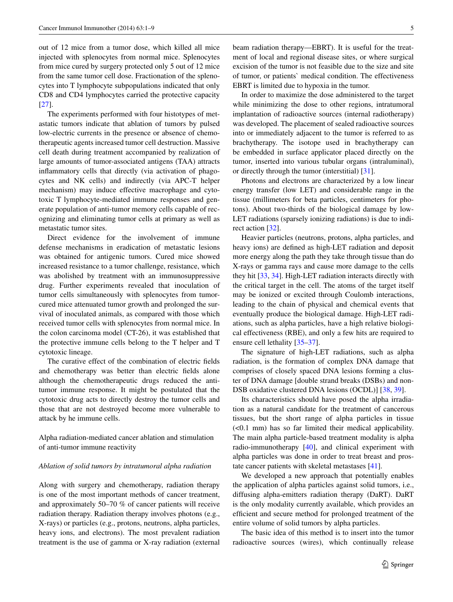out of 12 mice from a tumor dose, which killed all mice injected with splenocytes from normal mice. Splenocytes from mice cured by surgery protected only 5 out of 12 mice from the same tumor cell dose. Fractionation of the splenocytes into T lymphocyte subpopulations indicated that only CD8 and CD4 lymphocytes carried the protective capacity [\[27](#page-7-21)].

The experiments performed with four histotypes of metastatic tumors indicate that ablation of tumors by pulsed low-electric currents in the presence or absence of chemotherapeutic agents increased tumor cell destruction. Massive cell death during treatment accompanied by realization of large amounts of tumor-associated antigens (TAA) attracts inflammatory cells that directly (via activation of phagocytes and NK cells) and indirectly (via APC-T helper mechanism) may induce effective macrophage and cytotoxic T lymphocyte-mediated immune responses and generate population of anti-tumor memory cells capable of recognizing and eliminating tumor cells at primary as well as metastatic tumor sites.

Direct evidence for the involvement of immune defense mechanisms in eradication of metastatic lesions was obtained for antigenic tumors. Cured mice showed increased resistance to a tumor challenge, resistance, which was abolished by treatment with an immunosuppressive drug. Further experiments revealed that inoculation of tumor cells simultaneously with splenocytes from tumorcured mice attenuated tumor growth and prolonged the survival of inoculated animals, as compared with those which received tumor cells with splenocytes from normal mice. In the colon carcinoma model (CT-26), it was established that the protective immune cells belong to the T helper and T cytotoxic lineage.

The curative effect of the combination of electric fields and chemotherapy was better than electric fields alone although the chemotherapeutic drugs reduced the antitumor immune response. It might be postulated that the cytotoxic drug acts to directly destroy the tumor cells and those that are not destroyed become more vulnerable to attack by he immune cells.

Alpha radiation-mediated cancer ablation and stimulation of anti-tumor immune reactivity

## *Ablation of solid tumors by intratumoral alpha radiation*

Along with surgery and chemotherapy, radiation therapy is one of the most important methods of cancer treatment, and approximately 50–70 % of cancer patients will receive radiation therapy. Radiation therapy involves photons (e.g., X-rays) or particles (e.g., protons, neutrons, alpha particles, heavy ions, and electrons). The most prevalent radiation treatment is the use of gamma or X-ray radiation (external beam radiation therapy—EBRT). It is useful for the treatment of local and regional disease sites, or where surgical excision of the tumor is not feasible due to the size and site of tumor, or patients` medical condition. The effectiveness EBRT is limited due to hypoxia in the tumor.

In order to maximize the dose administered to the target while minimizing the dose to other regions, intratumoral implantation of radioactive sources (internal radiotherapy) was developed. The placement of sealed radioactive sources into or immediately adjacent to the tumor is referred to as brachytherapy. The isotope used in brachytherapy can be embedded in surface applicator placed directly on the tumor, inserted into various tubular organs (intraluminal), or directly through the tumor (interstitial) [[31\]](#page-7-26).

Photons and electrons are characterized by a low linear energy transfer (low LET) and considerable range in the tissue (millimeters for beta particles, centimeters for photons). About two-thirds of the biological damage by low-LET radiations (sparsely ionizing radiations) is due to indirect action [[32\]](#page-7-27).

Heavier particles (neutrons, protons, alpha particles, and heavy ions) are defined as high-LET radiation and deposit more energy along the path they take through tissue than do X-rays or gamma rays and cause more damage to the cells they hit [[33,](#page-7-28) [34\]](#page-7-29). High-LET radiation interacts directly with the critical target in the cell. The atoms of the target itself may be ionized or excited through Coulomb interactions, leading to the chain of physical and chemical events that eventually produce the biological damage. High-LET radiations, such as alpha particles, have a high relative biological effectiveness (RBE), and only a few hits are required to ensure cell lethality [\[35](#page-7-30)[–37](#page-7-31)].

The signature of high-LET radiations, such as alpha radiation, is the formation of complex DNA damage that comprises of closely spaced DNA lesions forming a cluster of DNA damage [double strand breaks (DSBs) and non-DSB oxidative clustered DNA lesions (OCDL)] [\[38](#page-7-32), [39](#page-7-33)].

Its characteristics should have posed the alpha irradiation as a natural candidate for the treatment of cancerous tissues, but the short range of alpha particles in tissue (<0.1 mm) has so far limited their medical applicability. The main alpha particle-based treatment modality is alpha radio-immunotherapy [[40\]](#page-8-0), and clinical experiment with alpha particles was done in order to treat breast and prostate cancer patients with skeletal metastases [\[41](#page-8-1)].

We developed a new approach that potentially enables the application of alpha particles against solid tumors, i.e., diffusing alpha-emitters radiation therapy (DaRT). DaRT is the only modality currently available, which provides an efficient and secure method for prolonged treatment of the entire volume of solid tumors by alpha particles.

The basic idea of this method is to insert into the tumor radioactive sources (wires), which continually release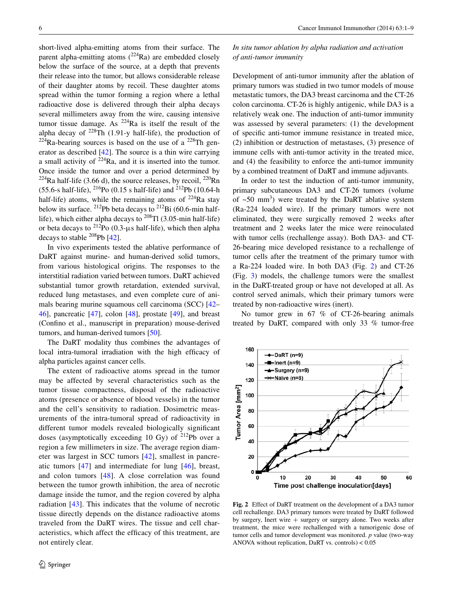short-lived alpha-emitting atoms from their surface. The parent alpha-emitting atoms  $(^{224}Ra)$  are embedded closely below the surface of the source, at a depth that prevents their release into the tumor, but allows considerable release of their daughter atoms by recoil. These daughter atoms spread within the tumor forming a region where a lethal radioactive dose is delivered through their alpha decays several millimeters away from the wire, causing intensive tumor tissue damage. As  $^{224}$ Ra is itself the result of the alpha decay of  $^{228}$ Th (1.91-y half-life), the production of  $224$ Ra-bearing sources is based on the use of a  $228$ Th generator as described [\[42](#page-8-2)]. The source is a thin wire carrying a small activity of  $224$ Ra, and it is inserted into the tumor. Once inside the tumor and over a period determined by <sup>224</sup>Ra half-life (3.66 d), the source releases, by recoil,  $^{220}$ Rn (55.6-s half-life),  $^{216}Po$  (0.15 s half-life) and  $^{212}Pb$  (10.64-h) half-life) atoms, while the remaining atoms of  $224$ Ra stay below its surface. <sup>212</sup>Pb beta decays to <sup>212</sup>Bi (60.6-min halflife), which either alpha decays to  $^{208}$ Tl (3.05-min half-life) or beta decays to  $^{212}$ Po (0.3-μs half-life), which then alpha decays to stable  $^{208}$ Pb [[42\]](#page-8-2).

In vivo experiments tested the ablative performance of DaRT against murine- and human-derived solid tumors, from various histological origins. The responses to the interstitial radiation varied between tumors. DaRT achieved substantial tumor growth retardation, extended survival, reduced lung metastases, and even complete cure of animals bearing murine squamous cell carcinoma (SCC) [\[42](#page-8-2)– [46](#page-8-3)], pancreatic [\[47](#page-8-4)], colon [\[48](#page-8-5)], prostate [\[49](#page-8-6)], and breast (Confino et al., manuscript in preparation) mouse-derived tumors, and human-derived tumors [[50\]](#page-8-7).

The DaRT modality thus combines the advantages of local intra-tumoral irradiation with the high efficacy of alpha particles against cancer cells.

The extent of radioactive atoms spread in the tumor may be affected by several characteristics such as the tumor tissue compactness, disposal of the radioactive atoms (presence or absence of blood vessels) in the tumor and the cell's sensitivity to radiation. Dosimetric measurements of the intra-tumoral spread of radioactivity in different tumor models revealed biologically significant doses (asymptotically exceeding 10 Gy) of 212Pb over a region a few millimeters in size. The average region diameter was largest in SCC tumors [[42](#page-8-2)], smallest in pancreatic tumors [\[47\]](#page-8-4) and intermediate for lung [[46\]](#page-8-3), breast, and colon tumors [[48\]](#page-8-5). A close correlation was found between the tumor growth inhibition, the area of necrotic damage inside the tumor, and the region covered by alpha radiation [\[43\]](#page-8-8). This indicates that the volume of necrotic tissue directly depends on the distance radioactive atoms traveled from the DaRT wires. The tissue and cell characteristics, which affect the efficacy of this treatment, are not entirely clear.

*In situ tumor ablation by alpha radiation and activation of anti‑tumor immunity*

Development of anti-tumor immunity after the ablation of primary tumors was studied in two tumor models of mouse metastatic tumors, the DA3 breast carcinoma and the CT-26 colon carcinoma. CT-26 is highly antigenic, while DA3 is a relatively weak one. The induction of anti-tumor immunity was assessed by several parameters: (1) the development of specific anti-tumor immune resistance in treated mice, (2) inhibition or destruction of metastases, (3) presence of immune cells with anti-tumor activity in the treated mice, and (4) the feasibility to enforce the anti-tumor immunity by a combined treatment of DaRT and immune adjuvants.

In order to test the induction of anti-tumor immunity, primary subcutaneous DA3 and CT-26 tumors (volume of  $~50$  mm<sup>3</sup>) were treated by the DaRT ablative system (Ra-224 loaded wire). If the primary tumors were not eliminated, they were surgically removed 2 weeks after treatment and 2 weeks later the mice were reinoculated with tumor cells (rechallenge assay). Both DA3- and CT-26-bearing mice developed resistance to a rechallenge of tumor cells after the treatment of the primary tumor with a Ra-224 loaded wire. In both DA3 (Fig. [2](#page-5-0)) and CT-26 (Fig. [3\)](#page-6-4) models, the challenge tumors were the smallest in the DaRT-treated group or have not developed at all. As control served animals, which their primary tumors were treated by non-radioactive wires (inert).

No tumor grew in 67 % of CT-26-bearing animals treated by DaRT, compared with only 33 % tumor-free



<span id="page-5-0"></span>**Fig. 2** Effect of DaRT treatment on the development of a DA3 tumor cell rechallenge. DA3 primary tumors were treated by DaRT followed by surgery, Inert wire  $+$  surgery or surgery alone. Two weeks after treatment, the mice were rechallenged with a tumorigenic dose of tumor cells and tumor development was monitored. *p* value (two-way ANOVA without replication, DaRT vs. controls) < 0.05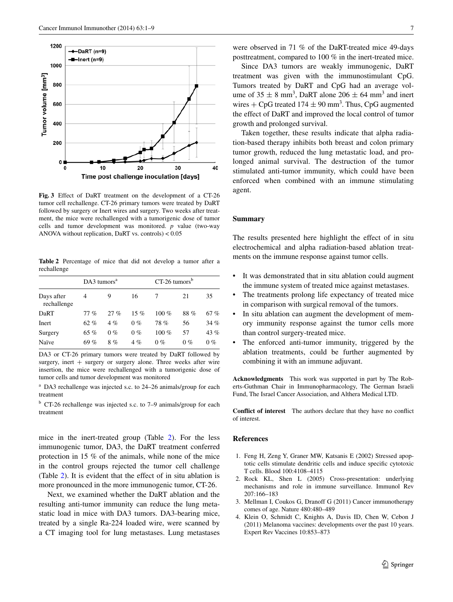

<span id="page-6-4"></span>**Fig. 3** Effect of DaRT treatment on the development of a CT-26 tumor cell rechallenge. CT-26 primary tumors were treated by DaRT followed by surgery or Inert wires and surgery. Two weeks after treatment, the mice were rechallenged with a tumorigenic dose of tumor cells and tumor development was monitored. *p* value (two-way ANOVA without replication, DaRT vs. controls) < 0.05

<span id="page-6-5"></span>**Table 2** Percentage of mice that did not develop a tumor after a rechallenge

|                           | $DA3$ tumors <sup>a</sup> |        |       | $CT-26 \t{tumors}^b$ |       |        |
|---------------------------|---------------------------|--------|-------|----------------------|-------|--------|
| Days after<br>rechallenge | 4                         | 9      | 16    |                      | 21    | 35     |
| DaRT                      | 77 %                      | $27\%$ | 15 %  | 100 $%$              | 88%   | 67%    |
| Inert                     | 62%                       | $4\%$  | $0\%$ | 78%                  | 56    | 34%    |
| Surgery                   | 65 %                      | $0\%$  | $0\%$ | 100 $%$              | 57    | 43 $%$ |
| Naïve                     | 69%                       | 8%     | 4%    | $0\%$                | $0\%$ | $0\%$  |

DA3 or CT-26 primary tumors were treated by DaRT followed by surgery, inert  $+$  surgery or surgery alone. Three weeks after wire insertion, the mice were rechallenged with a tumorigenic dose of tumor cells and tumor development was monitored

<sup>a</sup> DA3 rechallenge was injected s.c. to 24–26 animals/group for each treatment

<sup>b</sup> CT-26 rechallenge was injected s.c. to 7–9 animals/group for each treatment

mice in the inert-treated group (Table [2\)](#page-6-5). For the less immunogenic tumor, DA3, the DaRT treatment conferred protection in 15 % of the animals, while none of the mice in the control groups rejected the tumor cell challenge (Table [2\)](#page-6-5). It is evident that the effect of in situ ablation is more pronounced in the more immunogenic tumor, CT-26.

Next, we examined whether the DaRT ablation and the resulting anti-tumor immunity can reduce the lung metastatic load in mice with DA3 tumors. DA3-bearing mice, treated by a single Ra-224 loaded wire, were scanned by a CT imaging tool for lung metastases. Lung metastases were observed in 71 % of the DaRT-treated mice 49-days posttreatment, compared to 100 % in the inert-treated mice.

Since DA3 tumors are weakly immunogenic, DaRT treatment was given with the immunostimulant CpG. Tumors treated by DaRT and CpG had an average volume of  $35 \pm 8$  mm<sup>3</sup>, DaRT alone  $206 \pm 64$  mm<sup>3</sup> and inert wires  $+$  CpG treated 174  $\pm$  90 mm<sup>3</sup>. Thus, CpG augmented the effect of DaRT and improved the local control of tumor growth and prolonged survival.

Taken together, these results indicate that alpha radiation-based therapy inhibits both breast and colon primary tumor growth, reduced the lung metastatic load, and prolonged animal survival. The destruction of the tumor stimulated anti-tumor immunity, which could have been enforced when combined with an immune stimulating agent.

## **Summary**

The results presented here highlight the effect of in situ electrochemical and alpha radiation-based ablation treatments on the immune response against tumor cells.

- It was demonstrated that in situ ablation could augment the immune system of treated mice against metastases.
- The treatments prolong life expectancy of treated mice in comparison with surgical removal of the tumors.
- In situ ablation can augment the development of memory immunity response against the tumor cells more than control surgery-treated mice.
- The enforced anti-tumor immunity, triggered by the ablation treatments, could be further augmented by combining it with an immune adjuvant.

**Acknowledgments** This work was supported in part by The Roberts-Guthman Chair in Immunopharmacology, The German Israeli Fund, The Israel Cancer Association, and Althera Medical LTD.

**Conflict of interest** The authors declare that they have no conflict of interest.

## **References**

- <span id="page-6-0"></span>1. Feng H, Zeng Y, Graner MW, Katsanis E (2002) Stressed apoptotic cells stimulate dendritic cells and induce specific cytotoxic T cells. Blood 100:4108–4115
- <span id="page-6-1"></span>2. Rock KL, Shen L (2005) Cross-presentation: underlying mechanisms and role in immune surveillance. Immunol Rev 207:166–183
- <span id="page-6-2"></span>3. Mellman I, Coukos G, Dranoff G (2011) Cancer immunotherapy comes of age. Nature 480:480–489
- <span id="page-6-3"></span>4. Klein O, Schmidt C, Knights A, Davis ID, Chen W, Cebon J (2011) Melanoma vaccines: developments over the past 10 years. Expert Rev Vaccines 10:853–873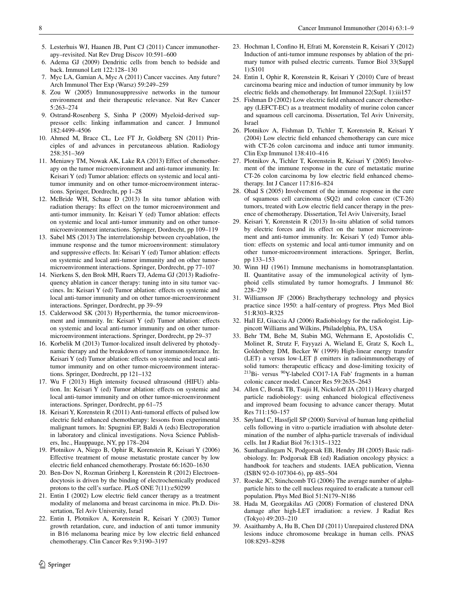- <span id="page-7-0"></span>5. Lesterhuis WJ, Haanen JB, Punt CJ (2011) Cancer immunotherapy–revisited. Nat Rev Drug Discov 10:591–600
- <span id="page-7-1"></span>6. Adema GJ (2009) Dendritic cells from bench to bedside and back. Immunol Lett 122:128–130
- <span id="page-7-2"></span>7. Myc LA, Gamian A, Myc A (2011) Cancer vaccines. Any future? Arch Immunol Ther Exp (Warsz) 59:249–259
- <span id="page-7-3"></span>8. Zou W (2005) Immunosuppressive networks in the tumour environment and their therapeutic relevance. Nat Rev Cancer 5:263–274
- <span id="page-7-4"></span>9. Ostrand-Rosenberg S, Sinha P (2009) Myeloid-derived suppressor cells: linking inflammation and cancer. J Immunol 182:4499–4506
- <span id="page-7-5"></span>10. Ahmed M, Brace CL, Lee FT Jr, Goldberg SN (2011) Principles of and advances in percutaneous ablation. Radiology 258:351–369
- <span id="page-7-6"></span>11. Meniawy TM, Nowak AK, Lake RA (2013) Effect of chemotherapy on the tumor microenvironment and anti-tumor immunity. In: Keisari Y (ed) Tumor ablation: effects on systemic and local antitumor immunity and on other tumor-microenvironment interactions. Springer, Dordrecht, pp 1–28
- <span id="page-7-7"></span>12. McBride WH, Schaue D (2013) In situ tumor ablation with radiation therapy: Its effect on the tumor microenvironment and anti-tumor immunity. In: Keisari Y (ed) Tumor ablation: effects on systemic and local anti-tumor immunity and on other tumormicroenvironment interactions. Springer, Dordrecht, pp 109–119
- <span id="page-7-8"></span>13. Sabel MS (2013) The interrelationship between cryoablation, the immune response and the tumor microenvironment: stimulatory and suppressive effects. In: Keisari Y (ed) Tumor ablation: effects on systemic and local anti-tumor immunity and on other tumormicroenvironment interactions. Springer, Dordrecht, pp 77–107
- <span id="page-7-9"></span>14. Nierkens S, den Brok MH, Ruers TJ, Adema GJ (2013) Radiofrequency ablation in cancer therapy: tuning into in situ tumor vaccines. In: Keisari Y (ed) Tumor ablation: effects on systemic and local anti-tumor immunity and on other tumor-microenvironment interactions. Springer, Dordrecht, pp 39–59
- <span id="page-7-10"></span>15. Calderwood SK (2013) Hyperthermia, the tumor microenvironment and immunity. In: Keisari Y (ed) Tumor ablation: effects on systemic and local anti-tumor immunity and on other tumormicroenvironment interactions. Springer, Dordrecht, pp 29–37
- <span id="page-7-11"></span>16. Korbelik M (2013) Tumor-localized insult delivered by photodynamic therapy and the breakdown of tumor immunotolerance. In: Keisari Y (ed) Tumor ablation: effects on systemic and local antitumor immunity and on other tumor-microenvironment interactions. Springer, Dordrecht, pp 121–132
- <span id="page-7-12"></span>17. Wu F (2013) High intensity focused ultrasound (HIFU) ablation. In: Keisari Y (ed) Tumor ablation: effects on systemic and local anti-tumor immunity and on other tumor-microenvironment interactions. Springer, Dordrecht, pp 61–75
- <span id="page-7-13"></span>18. Keisari Y, Korenstein R (2011) Anti-tumoral effects of pulsed low electric field enhanced chemotherapy: lessons from experimental malignant tumors. In: Spugnini EP, Baldi A (eds) Electroporation in laboratory and clinical investigations. Nova Science Publishers, Inc., Hauppauge, NY, pp 178–204
- <span id="page-7-14"></span>19. Plotnikov A, Niego B, Ophir R, Korenstein R, Keisari Y (2006) Effective treatment of mouse metastatic prostate cancer by low electric field enhanced chemotherapy. Prostate 66:1620–1630
- <span id="page-7-15"></span>20. Ben-Dov N, Rozman Grinberg I, Korenstein R (2012) Electroendocytosis is driven by the binding of electrochemically produced protons to the cell's surface. PLoS ONE 7(11):e50299
- <span id="page-7-16"></span>21. Entin I (2002) Low electric field cancer therapy as a treatment modality of melanoma and breast carcinoma in mice. Ph.D. Dissertation, Tel Aviv University, Israel
- <span id="page-7-17"></span>22. Entin I, Plotnikov A, Korenstein R, Keisari Y (2003) Tumor growth retardation, cure, and induction of anti tumor immunity in B16 melanoma bearing mice by low electric field enhanced chemotherapy. Clin Cancer Res 9:3190–3197
- <span id="page-7-18"></span>23. Hochman I, Confino H, Efrati M, Korenstein R, Keisari Y (2012) Induction of anti-tumor immune responses by ablation of the primary tumor with pulsed electric currents. Tumor Biol 33(Suppl 1):S101
- <span id="page-7-19"></span>24. Entin I, Ophir R, Korenstein R, Keisari Y (2010) Cure of breast carcinoma bearing mice and induction of tumor immunity by low electric fields and chemotherapy. Int Immunol 22(Supl. 1):iii157
- <span id="page-7-20"></span>25. Fishman D (2002) Low electric field enhanced cancer chemotherapy (LEFCT-EC) as a treatment modality of murine colon cancer and squamous cell carcinoma. Dissertation, Tel Aviv University, Israel
- <span id="page-7-25"></span>26. Plotnikov A, Fishman D, Tichler T, Korenstein R, Keisari Y (2004) Low electric field enhanced chemotherapy can cure mice with CT-26 colon carcinoma and induce anti tumor immunity. Clin Exp Immunol 138:410–416
- <span id="page-7-21"></span>27. Plotnikov A, Tichler T, Korenstein R, Keisari Y (2005) Involvement of the immune response in the cure of metastatic murine CT-26 colon carcinoma by low electric field enhanced chemotherapy. Int J Cancer 117:816–824
- <span id="page-7-22"></span>28. Ohad S (2005) Involvement of the immune response in the cure of squamous cell carcinoma (SQ2) and colon cancer (CT-26) tumors, treated with Low electric field cancer therapy in the presence of chemotherapy. Dissertation, Tel Aviv University, Israel
- <span id="page-7-23"></span>29. Keisari Y, Korenstein R (2013) In-situ ablation of solid tumors by electric forces and its effect on the tumor microenvironment and anti-tumor immunity. In: Keisari Y (ed) Tumor ablation: effects on systemic and local anti-tumor immunity and on other tumor-microenvironment interactions. Springer, Berlin, pp 133–153
- <span id="page-7-24"></span>30. Winn HJ (1961) Immune mechanisms in homotransplantation. II. Quantitative assay of the immunological activity of lymphoid cells stimulated by tumor homografts. J Immunol 86: 228–239
- <span id="page-7-26"></span>31. Williamson JF (2006) Brachytherapy technology and physics practice since 1950: a half-century of progress. Phys Med Biol 51:R303–R325
- <span id="page-7-27"></span>32. Hall EJ, Giaccia AJ (2006) Radiobiology for the radiologist. Lippincott Williams and Wilkins, Philadelphia, PA, USA
- <span id="page-7-28"></span>33. Behr TM, Behe M, Stabin MG, Wehrmann E, Apostolidis C, Molinet R, Strutz F, Fayyazi A, Wieland E, Gratz S, Koch L, Goldenberg DM, Becker W (1999) High-linear energy transfer (LET) a versus low-LET β emitters in radioimmunotherapy of solid tumors: therapeutic efficacy and dose-limiting toxicity of 213Bi- versus 90Y-labeled CO17-1A Fab' fragments in a human colonic cancer model. Cancer Res 59:2635–2643
- <span id="page-7-29"></span>34. Allen C, Borak TB, Tsujii H, Nickoloff JA (2011) Heavy charged particle radiobiology: using enhanced biological effectiveness and improved beam focusing to advance cancer therapy. Mutat Res 711:150–157
- <span id="page-7-30"></span>35. Søyland C, Hassfjell SP (2000) Survival of human lung epithelial cells following in vitro α-particle irradiation with absolute determination of the number of alpha-particle traversals of individual cells. Int J Radiat Biol 76:1315–1322
- 36. Suntharalingam N, Podgorsak EB, Hendry JH (2005) Basic radiobiology. In: Podgorsak EB (ed) Radiation oncology physics: a handbook for teachers and students. IAEA publication, Vienna (ISBN 92-0-107304-6), pp 485–504
- <span id="page-7-31"></span>37. Roeske JC, Stinchcomb TG (2006) The average number of alphaparticle hits to the cell nucleus required to eradicate a tumour cell population. Phys Med Biol 51:N179–N186
- <span id="page-7-32"></span>38. Hada M, Georgakilas AG (2008) Formation of clustered DNA damage after high-LET irradiation: a review. J Radiat Res (Tokyo) 49:203–210
- <span id="page-7-33"></span>39. Asaithamby A, Hu B, Chen DJ (2011) Unrepaired clustered DNA lesions induce chromosome breakage in human cells. PNAS 108:8293–8298